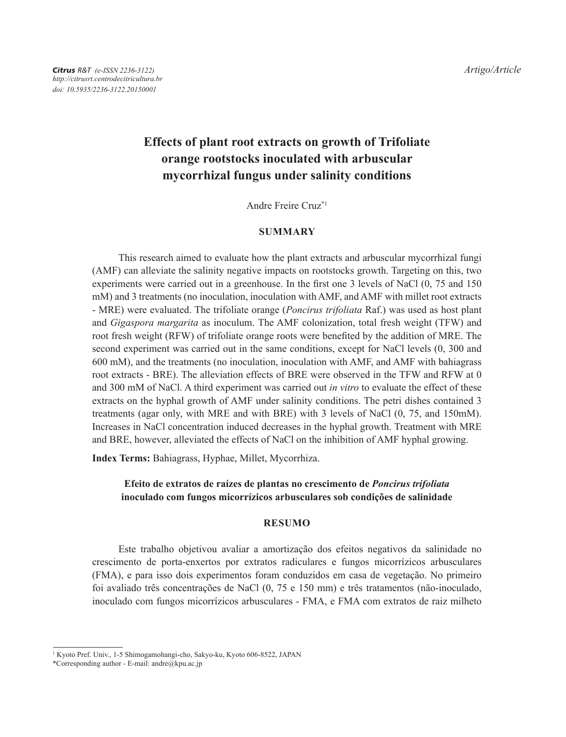# **Effects of plant root extracts on growth of Trifoliate orange rootstocks inoculated with arbuscular mycorrhizal fungus under salinity conditions**

Andre Freire Cruz\*1

### **SUMMARY**

This research aimed to evaluate how the plant extracts and arbuscular mycorrhizal fungi (AMF) can alleviate the salinity negative impacts on rootstocks growth. Targeting on this, two experiments were carried out in a greenhouse. In the first one 3 levels of NaCl (0, 75 and 150 mM) and 3 treatments (no inoculation, inoculation with AMF, and AMF with millet root extracts - MRE) were evaluated. The trifoliate orange (*Poncirus trifoliata* Raf.) was used as host plant and *Gigaspora margarita* as inoculum. The AMF colonization, total fresh weight (TFW) and root fresh weight (RFW) of trifoliate orange roots were benefited by the addition of MRE. The second experiment was carried out in the same conditions, except for NaCl levels (0, 300 and 600 mM), and the treatments (no inoculation, inoculation with AMF, and AMF with bahiagrass root extracts - BRE). The alleviation effects of BRE were observed in the TFW and RFW at 0 and 300 mM of NaCl. A third experiment was carried out *in vitro* to evaluate the effect of these extracts on the hyphal growth of AMF under salinity conditions. The petri dishes contained 3 treatments (agar only, with MRE and with BRE) with 3 levels of NaCl (0, 75, and 150mM). Increases in NaCl concentration induced decreases in the hyphal growth. Treatment with MRE and BRE, however, alleviated the effects of NaCl on the inhibition of AMF hyphal growing.

**Index Terms:** Bahiagrass, Hyphae, Millet, Mycorrhiza.

# **Efeito de extratos de raízes de plantas no crescimento de** *Poncirus trifoliata* **inoculado com fungos micorrízicos arbusculares sob condições de salinidade**

### **Resumo**

Este trabalho objetivou avaliar a amortização dos efeitos negativos da salinidade no crescimento de porta-enxertos por extratos radiculares e fungos micorrízicos arbusculares (FMA), e para isso dois experimentos foram conduzidos em casa de vegetação. No primeiro foi avaliado três concentrações de NaCl (0, 75 e 150 mm) e três tratamentos (não-inoculado, inoculado com fungos micorrízicos arbusculares - FMA, e FMA com extratos de raiz milheto

<sup>&</sup>lt;sup>1</sup> Kyoto Pref. Univ., 1-5 Shimogamohangi-cho, Sakyo-ku, Kyoto 606-8522, JAPAN

<sup>\*</sup>Corresponding author - E-mail: andre@kpu.ac.jp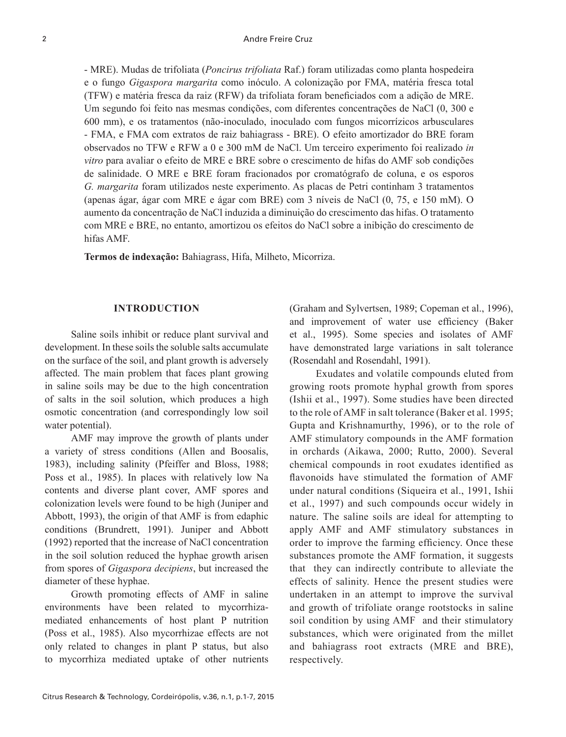- MRE). Mudas de trifoliata (*Poncirus trifoliata* Raf.) foram utilizadas como planta hospedeira e o fungo *Gigaspora margarita* como inóculo. A colonização por FMA, matéria fresca total (TFW) e matéria fresca da raiz (RFW) da trifoliata foram beneficiados com a adição de MRE. Um segundo foi feito nas mesmas condições, com diferentes concentrações de NaCl (0, 300 e 600 mm), e os tratamentos (não-inoculado, inoculado com fungos micorrízicos arbusculares - FMA, e FMA com extratos de raiz bahiagrass - BRE). O efeito amortizador do BRE foram observados no TFW e RFW a 0 e 300 mM de NaCl. Um terceiro experimento foi realizado *in vitro* para avaliar o efeito de MRE e BRE sobre o crescimento de hifas do AMF sob condições de salinidade. O MRE e BRE foram fracionados por cromatógrafo de coluna, e os esporos *G. margarita* foram utilizados neste experimento. As placas de Petri continham 3 tratamentos (apenas ágar, ágar com MRE e ágar com BRE) com 3 níveis de NaCl (0, 75, e 150 mM). O aumento da concentração de NaCl induzida a diminuição do crescimento das hifas. O tratamento com MRE e BRE, no entanto, amortizou os efeitos do NaCl sobre a inibição do crescimento de hifas AMF.

**Termos de indexação:** Bahiagrass, Hifa, Milheto, Micorriza.

### **Introduction**

Saline soils inhibit or reduce plant survival and development. In these soils the soluble salts accumulate on the surface of the soil, and plant growth is adversely affected. The main problem that faces plant growing in saline soils may be due to the high concentration of salts in the soil solution, which produces a high osmotic concentration (and correspondingly low soil water potential).

AMF may improve the growth of plants under a variety of stress conditions (Allen and Boosalis, 1983), including salinity (Pfeiffer and Bloss, 1988; Poss et al., 1985). In places with relatively low Na contents and diverse plant cover, AMF spores and colonization levels were found to be high (Juniper and Abbott, 1993), the origin of that AMF is from edaphic conditions (Brundrett, 1991). Juniper and Abbott (1992) reported that the increase of NaCl concentration in the soil solution reduced the hyphae growth arisen from spores of *Gigaspora decipiens*, but increased the diameter of these hyphae.

Growth promoting effects of AMF in saline environments have been related to mycorrhizamediated enhancements of host plant P nutrition (Poss et al., 1985). Also mycorrhizae effects are not only related to changes in plant P status, but also to mycorrhiza mediated uptake of other nutrients (Graham and Sylvertsen, 1989; Copeman et al., 1996), and improvement of water use efficiency (Baker et al., 1995). Some species and isolates of AMF have demonstrated large variations in salt tolerance (Rosendahl and Rosendahl, 1991).

Exudates and volatile compounds eluted from growing roots promote hyphal growth from spores (Ishii et al., 1997). Some studies have been directed to the role of AMF in salt tolerance (Baker et al. 1995; Gupta and Krishnamurthy, 1996), or to the role of AMF stimulatory compounds in the AMF formation in orchards (Aikawa, 2000; Rutto, 2000). Several chemical compounds in root exudates identified as flavonoids have stimulated the formation of AMF under natural conditions (Siqueira et al., 1991, Ishii et al., 1997) and such compounds occur widely in nature. The saline soils are ideal for attempting to apply AMF and AMF stimulatory substances in order to improve the farming efficiency. Once these substances promote the AMF formation, it suggests that they can indirectly contribute to alleviate the effects of salinity. Hence the present studies were undertaken in an attempt to improve the survival and growth of trifoliate orange rootstocks in saline soil condition by using AMF and their stimulatory substances, which were originated from the millet and bahiagrass root extracts (MRE and BRE), respectively.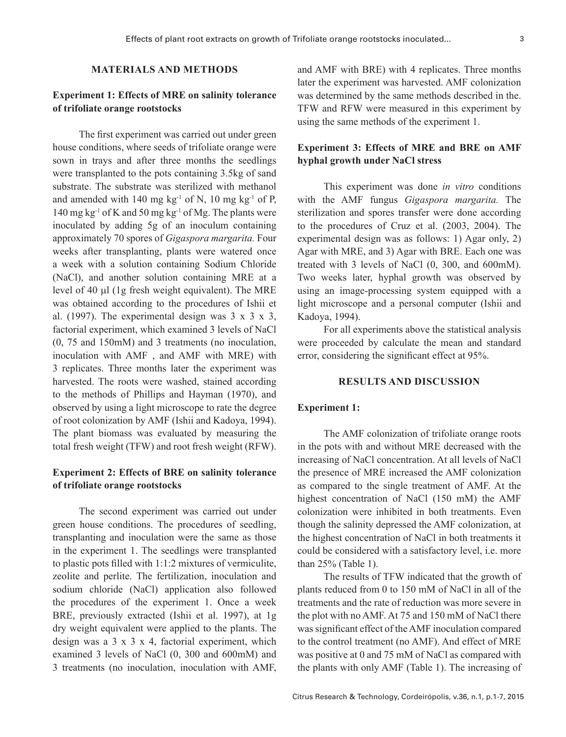### **Materials and Methods**

# **Experiment 1: Effects of MRE on salinity tolerance of trifoliate orange rootstocks**

The first experiment was carried out under green house conditions, where seeds of trifoliate orange were sown in trays and after three months the seedlings were transplanted to the pots containing 3.5kg of sand substrate. The substrate was sterilized with methanol and amended with 140 mg kg<sup>-1</sup> of N, 10 mg kg<sup>-1</sup> of P, 140 mg kg<sup>-1</sup> of K and 50 mg kg<sup>-1</sup> of Mg. The plants were inoculated by adding 5g of an inoculum containing approximately 70 spores of *Gigaspora margarita.* Four weeks after transplanting, plants were watered once a week with a solution containing Sodium Chloride (NaCl), and another solution containing MRE at a level of 40  $\mu$ l (1g fresh weight equivalent). The MRE was obtained according to the procedures of Ishii et al. (1997). The experimental design was  $3 \times 3 \times 3$ , factorial experiment, which examined 3 levels of NaCl (0, 75 and 150mM) and 3 treatments (no inoculation, inoculation with AMF , and AMF with MRE) with 3 replicates. Three months later the experiment was harvested. The roots were washed, stained according to the methods of Phillips and Hayman (1970), and observed by using a light microscope to rate the degree of root colonization by AMF (Ishii and Kadoya, 1994). The plant biomass was evaluated by measuring the total fresh weight (TFW) and root fresh weight (RFW).

## **Experiment 2: Effects of BRE on salinity tolerance of trifoliate orange rootstocks**

The second experiment was carried out under green house conditions. The procedures of seedling, transplanting and inoculation were the same as those in the experiment 1. The seedlings were transplanted to plastic pots filled with 1:1:2 mixtures of vermiculite, zeolite and perlite. The fertilization, inoculation and sodium chloride (NaCl) application also followed the procedures of the experiment 1. Once a week BRE, previously extracted (Ishii et al. 1997), at 1g dry weight equivalent were applied to the plants. The design was a  $3 \times 3 \times 4$ , factorial experiment, which examined 3 levels of NaCl (0, 300 and 600mM) and 3 treatments (no inoculation, inoculation with AMF, and AMF with BRE) with 4 replicates. Three months later the experiment was harvested. AMF colonization was determined by the same methods described in the. TFW and RFW were measured in this experiment by using the same methods of the experiment 1.

# **Experiment 3: Effects of MRE and BRE on AMF hyphal growth under NaCl stress**

This experiment was done *in vitro* conditions with the AMF fungus *Gigaspora margarita.* The sterilization and spores transfer were done according to the procedures of Cruz et al. (2003, 2004). The experimental design was as follows: 1) Agar only, 2) Agar with MRE, and 3) Agar with BRE. Each one was treated with 3 levels of NaCl (0, 300, and 600mM). Two weeks later, hyphal growth was observed by using an image-processing system equipped with a light microscope and a personal computer (Ishii and Kadoya, 1994).

For all experiments above the statistical analysis were proceeded by calculate the mean and standard error, considering the significant effect at 95%.

### **Results and Discussion**

#### **Experiment 1:**

The AMF colonization of trifoliate orange roots in the pots with and without MRE decreased with the increasing of NaCl concentration. At all levels of NaCl the presence of MRE increased the AMF colonization as compared to the single treatment of AMF. At the highest concentration of NaCl (150 mM) the AMF colonization were inhibited in both treatments. Even though the salinity depressed the AMF colonization, at the highest concentration of NaCl in both treatments it could be considered with a satisfactory level, i.e. more than 25% (Table 1).

The results of TFW indicated that the growth of plants reduced from 0 to 150 mM of NaCl in all of the treatments and the rate of reduction was more severe in the plot with no AMF. At 75 and 150 mM of NaCl there was significant effect of the AMF inoculation compared to the control treatment (no AMF). And effect of MRE was positive at 0 and 75 mM of NaCl as compared with the plants with only AMF (Table 1). The increasing of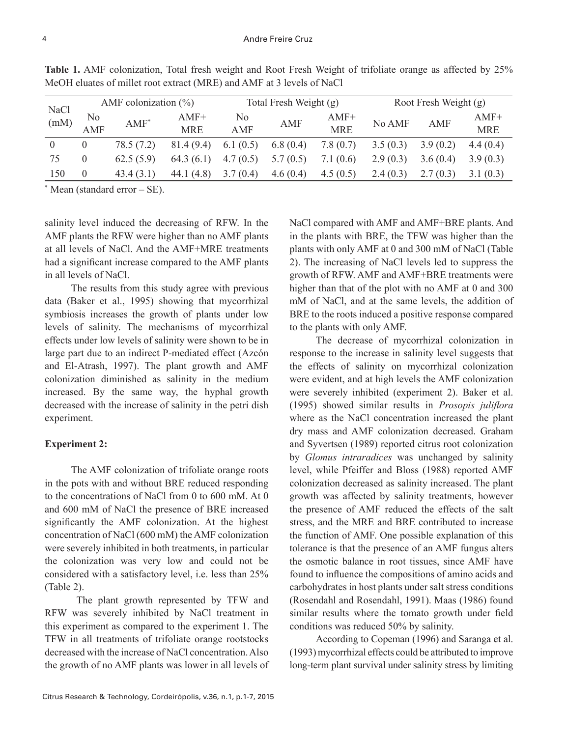| NaCl<br>(mM) | AMF colonization $(\% )$ |            |              |             | Total Fresh Weight (g) |            | Root Fresh Weight (g) |          |            |
|--------------|--------------------------|------------|--------------|-------------|------------------------|------------|-----------------------|----------|------------|
|              | No                       | $AMF^*$    | $AMF+$       | No          | AMF                    | $AMF+$     | No AMF                | AMF      | $AMF+$     |
|              | AMF                      |            | <b>MRE</b>   | AMF         |                        | <b>MRE</b> |                       |          | <b>MRE</b> |
| $\theta$     | 0                        | 78.5 (7.2) | 81.4(9.4)    | 6.1 $(0.5)$ | 6.8(0.4)               | 7.8(0.7)   | 3.5(0.3)              | 3.9(0.2) | 4.4(0.4)   |
| 75           | 0                        | 62.5(5.9)  | 64.3(6.1)    | 4.7(0.5)    | 5.7(0.5)               | 7.1(0.6)   | 2.9(0.3)              | 3.6(0.4) | 3.9(0.3)   |
| 150          | $\boldsymbol{0}$         | 43.4(3.1)  | 44.1 $(4.8)$ | 3.7(0.4)    | 4.6(0.4)               | 4.5(0.5)   | 2.4(0.3)              | 2.7(0.3) | 3.1(0.3)   |

**Table 1.** AMF colonization, Total fresh weight and Root Fresh Weight of trifoliate orange as affected by 25% MeOH eluates of millet root extract (MRE) and AMF at 3 levels of NaCl

\* Mean (standard error – SE).

salinity level induced the decreasing of RFW. In the AMF plants the RFW were higher than no AMF plants at all levels of NaCl. And the AMF+MRE treatments had a significant increase compared to the AMF plants in all levels of NaCl.

The results from this study agree with previous data (Baker et al., 1995) showing that mycorrhizal symbiosis increases the growth of plants under low levels of salinity. The mechanisms of mycorrhizal effects under low levels of salinity were shown to be in large part due to an indirect P-mediated effect (Azcón and El-Atrash, 1997). The plant growth and AMF colonization diminished as salinity in the medium increased. By the same way, the hyphal growth decreased with the increase of salinity in the petri dish experiment.

# **Experiment 2:**

The AMF colonization of trifoliate orange roots in the pots with and without BRE reduced responding to the concentrations of NaCl from 0 to 600 mM. At 0 and 600 mM of NaCl the presence of BRE increased significantly the AMF colonization. At the highest concentration of NaCl (600 mM) the AMF colonization were severely inhibited in both treatments, in particular the colonization was very low and could not be considered with a satisfactory level, i.e. less than 25% (Table 2).

 The plant growth represented by TFW and RFW was severely inhibited by NaCl treatment in this experiment as compared to the experiment 1. The TFW in all treatments of trifoliate orange rootstocks decreased with the increase of NaCl concentration. Also the growth of no AMF plants was lower in all levels of

Citrus Research & Technology, Cordeirópolis, v.36, n.1, p.1-7, 2015

NaCl compared with AMF and AMF+BRE plants. And in the plants with BRE, the TFW was higher than the plants with only AMF at 0 and 300 mM of NaCl (Table 2). The increasing of NaCl levels led to suppress the growth of RFW. AMF and AMF+BRE treatments were higher than that of the plot with no AMF at 0 and 300 mM of NaCl, and at the same levels, the addition of BRE to the roots induced a positive response compared to the plants with only AMF.

The decrease of mycorrhizal colonization in response to the increase in salinity level suggests that the effects of salinity on mycorrhizal colonization were evident, and at high levels the AMF colonization were severely inhibited (experiment 2). Baker et al. (1995) showed similar results in *Prosopis juliflora* where as the NaCl concentration increased the plant dry mass and AMF colonization decreased. Graham and Syvertsen (1989) reported citrus root colonization by *Glomus intraradices* was unchanged by salinity level, while Pfeiffer and Bloss (1988) reported AMF colonization decreased as salinity increased. The plant growth was affected by salinity treatments, however the presence of AMF reduced the effects of the salt stress, and the MRE and BRE contributed to increase the function of AMF. One possible explanation of this tolerance is that the presence of an AMF fungus alters the osmotic balance in root tissues, since AMF have found to influence the compositions of amino acids and carbohydrates in host plants under salt stress conditions (Rosendahl and Rosendahl, 1991). Maas (1986) found similar results where the tomato growth under field conditions was reduced 50% by salinity.

According to Copeman (1996) and Saranga et al. (1993) mycorrhizal effects could be attributed to improve long-term plant survival under salinity stress by limiting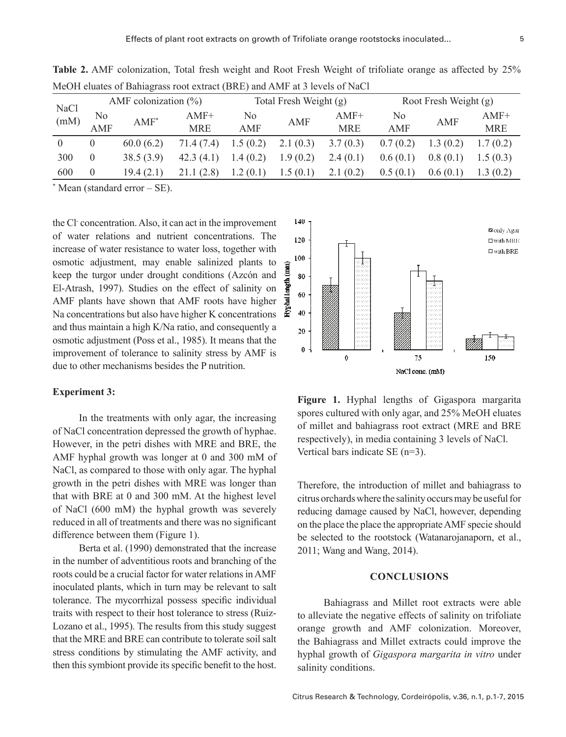| <b>NaCl</b><br>(mM) | AMF colonization $(\% )$ |           |            | Total Fresh Weight (g) |            |            | Root Fresh Weight (g) |            |            |  |  |
|---------------------|--------------------------|-----------|------------|------------------------|------------|------------|-----------------------|------------|------------|--|--|
|                     | No                       | $AMF^*$   | $AMF+$     | No                     | <b>AMF</b> | $AMF+$     | No                    | <b>AMF</b> | $AMF+$     |  |  |
|                     | AMF                      |           | <b>MRE</b> | AMF                    |            | <b>MRE</b> | AMF                   |            | <b>MRE</b> |  |  |
| $\theta$            | $\theta$                 | 60.0(6.2) | 71.4 (7.4) | 1.5(0.2)               | 2.1(0.3)   | 3.7(0.3)   | 0.7(0.2)              | 1.3(0.2)   | 1.7(0.2)   |  |  |
| 300                 | $\theta$                 | 38.5(3.9) | 42.3(4.1)  | 1.4(0.2)               | 1.9(0.2)   | 2.4(0.1)   | 0.6(0.1)              | 0.8(0.1)   | 1.5(0.3)   |  |  |
| 600                 | $\theta$                 | 19.4(2.1) | 21.1 (2.8) | 1.2(0.1)               | 1.5(0.1)   | 2.1(0.2)   | 0.5(0.1)              | 0.6(0.1)   | 1.3(0.2)   |  |  |

**Table 2.** AMF colonization, Total fresh weight and Root Fresh Weight of trifoliate orange as affected by 25% MeOH eluates of Bahiagrass root extract (BRE) and AMF at 3 levels of NaCl

\* Mean (standard error – SE).

the Cl- concentration. Also, it can act in the improvement of water relations and nutrient concentrations. The increase of water resistance to water loss, together with osmotic adjustment, may enable salinized plants to keep the turgor under drought conditions (Azcón and El-Atrash, 1997). Studies on the effect of salinity on AMF plants have shown that AMF roots have higher Na concentrations but also have higher K concentrations and thus maintain a high K/Na ratio, and consequently a osmotic adjustment (Poss et al., 1985). It means that the improvement of tolerance to salinity stress by AMF is due to other mechanisms besides the P nutrition.

#### **Experiment 3:**

In the treatments with only agar, the increasing of NaCl concentration depressed the growth of hyphae. However, in the petri dishes with MRE and BRE, the AMF hyphal growth was longer at 0 and 300 mM of NaCl, as compared to those with only agar. The hyphal growth in the petri dishes with MRE was longer than that with BRE at 0 and 300 mM. At the highest level of NaCl (600 mM) the hyphal growth was severely reduced in all of treatments and there was no significant difference between them (Figure 1).

Berta et al. (1990) demonstrated that the increase in the number of adventitious roots and branching of the roots could be a crucial factor for water relations in AMF inoculated plants, which in turn may be relevant to salt tolerance. The mycorrhizal possess specific individual traits with respect to their host tolerance to stress (Ruiz-Lozano et al., 1995). The results from this study suggest that the MRE and BRE can contribute to tolerate soil salt stress conditions by stimulating the AMF activity, and then this symbiont provide its specific benefit to the host.



Fig. 1. Hyphal lengths of *Gigaspora margarita* spores cultured with only agar, and 25% Figure 1. Hyphal lengths of Gigaspora margarita in media containing 3 levels of NaCl. spores cultured with only agar, and 25% MeOH eluates of millet and bahiagrass root extract (MRE and BRE respectively), in media containing 3 levels of NaCl. Vertical bars indicate SE (n=3).

Therefore, the introduction of millet and bahiagrass to citrus orchards where the salinity occurs may be useful for reducing damage caused by NaCl, however, depending on the place the place the appropriate AMF specie should be selected to the rootstock (Watanarojanaporn, et al., 2011; Wang and Wang, 2014).

### **Conclusions**

Bahiagrass and Millet root extracts were able to alleviate the negative effects of salinity on trifoliate orange growth and AMF colonization. Moreover, the Bahiagrass and Millet extracts could improve the hyphal growth of *Gigaspora margarita in vitro* under salinity conditions.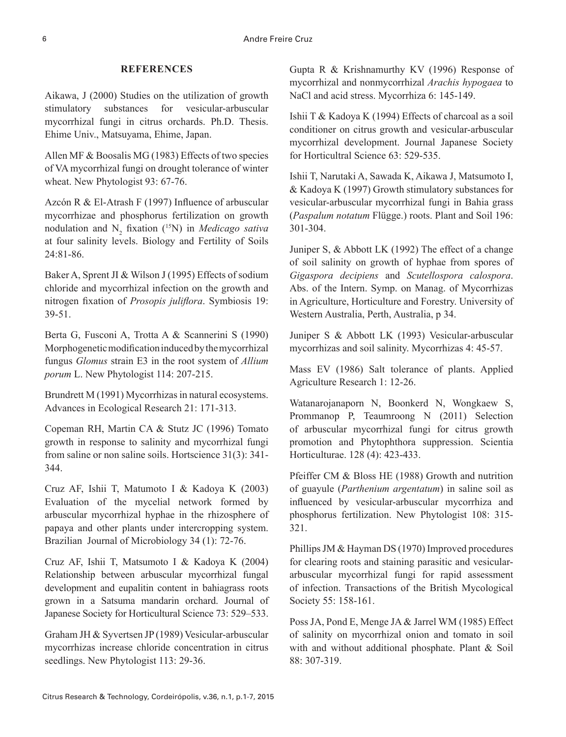## **REFERENCES**

Aikawa, J (2000) Studies on the utilization of growth stimulatory substances for vesicular-arbuscular mycorrhizal fungi in citrus orchards. Ph.D. Thesis. Ehime Univ., Matsuyama, Ehime, Japan.

Allen MF & Boosalis MG (1983) Effects of two species of VA mycorrhizal fungi on drought tolerance of winter wheat. New Phytologist 93: 67-76.

Azcón R & El-Atrash F (1997) Influence of arbuscular mycorrhizae and phosphorus fertilization on growth nodulation and N<sub>2</sub> fixation (<sup>15</sup>N) in *Medicago sativa* at four salinity levels. Biology and Fertility of Soils 24:81-86.

Baker A, Sprent JI & Wilson J (1995) Effects of sodium chloride and mycorrhizal infection on the growth and nitrogen fixation of *Prosopis juliflora*. Symbiosis 19: 39-51.

Berta G, Fusconi A, Trotta A & Scannerini S (1990) Morphogenetic modification induced by the mycorrhizal fungus *Glomus* strain E3 in the root system of *Allium porum* L. New Phytologist 114: 207-215.

Brundrett M (1991) Mycorrhizas in natural ecosystems. Advances in Ecological Research 21: 171-313.

Copeman RH, Martin CA & Stutz JC (1996) Tomato growth in response to salinity and mycorrhizal fungi from saline or non saline soils. Hortscience 31(3): 341- 344.

Cruz AF, Ishii T, Matumoto I & Kadoya K (2003) Evaluation of the mycelial network formed by arbuscular mycorrhizal hyphae in the rhizosphere of papaya and other plants under intercropping system. Brazilian Journal of Microbiology 34 (1): 72-76.

Cruz AF, Ishii T, Matsumoto I & Kadoya K (2004) Relationship between arbuscular mycorrhizal fungal development and eupalitin content in bahiagrass roots grown in a Satsuma mandarin orchard. Journal of Japanese Society for Horticultural Science 73: 529–533.

Graham JH & Syvertsen JP (1989) Vesicular-arbuscular mycorrhizas increase chloride concentration in citrus seedlings. New Phytologist 113: 29-36.

Gupta R & Krishnamurthy KV (1996) Response of mycorrhizal and nonmycorrhizal *Arachis hypogaea* to NaCl and acid stress. Mycorrhiza 6: 145-149.

Ishii T & Kadoya K (1994) Effects of charcoal as a soil conditioner on citrus growth and vesicular-arbuscular mycorrhizal development. Journal Japanese Society for Horticultral Science 63: 529-535.

Ishii T, Narutaki A, Sawada K, Aikawa J, Matsumoto I, & Kadoya K (1997) Growth stimulatory substances for vesicular-arbuscular mycorrhizal fungi in Bahia grass (*Paspalum notatum* Flügge.) roots. Plant and Soil 196: 301-304.

Juniper S, & Abbott LK (1992) The effect of a change of soil salinity on growth of hyphae from spores of *Gigaspora decipiens* and *Scutellospora calospora*. Abs. of the Intern. Symp. on Manag. of Mycorrhizas in Agriculture, Horticulture and Forestry. University of Western Australia, Perth, Australia, p 34.

Juniper S & Abbott LK (1993) Vesicular-arbuscular mycorrhizas and soil salinity. Mycorrhizas 4: 45-57.

Mass EV (1986) Salt tolerance of plants. Applied Agriculture Research 1: 12-26.

Watanarojanaporn N, Boonkerd N, Wongkaew S, Prommanop P, Teaumroong N (2011) Selection of arbuscular mycorrhizal fungi for citrus growth promotion and Phytophthora suppression. Scientia Horticulturae. 128 (4): 423-433.

Pfeiffer CM & Bloss HE (1988) Growth and nutrition of guayule (*Parthenium argentatum*) in saline soil as influenced by vesicular-arbuscular mycorrhiza and phosphorus fertilization. New Phytologist 108: 315- 321.

Phillips JM & Hayman DS (1970) Improved procedures for clearing roots and staining parasitic and vesiculararbuscular mycorrhizal fungi for rapid assessment of infection. Transactions of the British Mycological Society 55: 158-161.

Poss JA, Pond E, Menge JA & Jarrel WM (1985) Effect of salinity on mycorrhizal onion and tomato in soil with and without additional phosphate. Plant & Soil 88: 307-319.